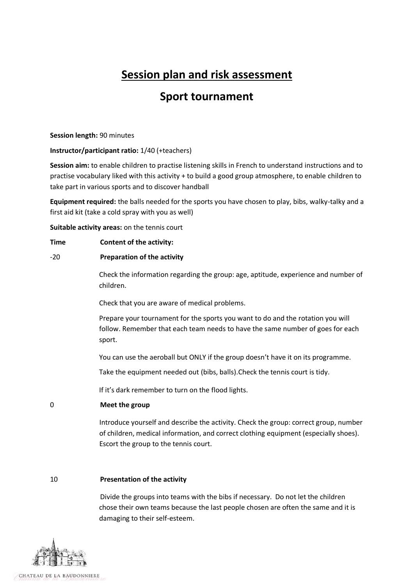# **Session plan and risk assessment**

## **Sport tournament**

#### **Session length:** 90 minutes

## **Instructor/participant ratio:** 1/40 (+teachers)

**Session aim:** to enable children to practise listening skills in French to understand instructions and to practise vocabulary liked with this activity + to build a good group atmosphere, to enable children to take part in various sports and to discover handball

**Equipment required:** the balls needed for the sports you have chosen to play, bibs, walky-talky and a first aid kit (take a cold spray with you as well)

**Suitable activity areas:** on the tennis court

#### **Time Content of the activity:**

## -20 **Preparation of the activity**

Check the information regarding the group: age, aptitude, experience and number of children.

Check that you are aware of medical problems.

Prepare your tournament for the sports you want to do and the rotation you will follow. Remember that each team needs to have the same number of goes for each sport.

You can use the aeroball but ONLY if the group doesn't have it on its programme.

Take the equipment needed out (bibs, balls).Check the tennis court is tidy.

If it's dark remember to turn on the flood lights.

## 0 **Meet the group**

Introduce yourself and describe the activity. Check the group: correct group, number of children, medical information, and correct clothing equipment (especially shoes). Escort the group to the tennis court.

#### 10 **Presentation of the activity**

Divide the groups into teams with the bibs if necessary. Do not let the children chose their own teams because the last people chosen are often the same and it is damaging to their self-esteem.

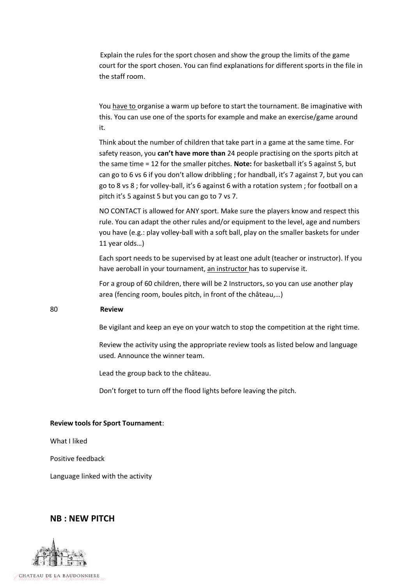Explain the rules for the sport chosen and show the group the limits of the game court for the sport chosen. You can find explanations for different sports in the file in the staff room.

You have to organise a warm up before to start the tournament. Be imaginative with this. You can use one of the sports for example and make an exercise/game around it.

Think about the number of children that take part in a game at the same time. For safety reason, you **can't have more than** 24 people practising on the sports pitch at the same time = 12 for the smaller pitches. **Note:** for basketball it's 5 against 5, but can go to 6 vs 6 if you don't allow dribbling ; for handball, it's 7 against 7, but you can go to 8 vs 8 ; for volley-ball, it's 6 against 6 with a rotation system ; for football on a pitch it's 5 against 5 but you can go to 7 vs 7.

NO CONTACT is allowed for ANY sport. Make sure the players know and respect this rule. You can adapt the other rules and/or equipment to the level, age and numbers you have (e.g.: play volley-ball with a soft ball, play on the smaller baskets for under 11 year olds…)

Each sport needs to be supervised by at least one adult (teacher or instructor). If you have aeroball in your tournament, an instructor has to supervise it.

For a group of 60 children, there will be 2 Instructors, so you can use another play area (fencing room, boules pitch, in front of the château,…)

#### 80 **Review**

Be vigilant and keep an eye on your watch to stop the competition at the right time.

Review the activity using the appropriate review tools as listed below and language used. Announce the winner team.

Lead the group back to the château.

Don't forget to turn off the flood lights before leaving the pitch.

#### **Review tools for Sport Tournament**:

What I liked

Positive feedback

Language linked with the activity

#### **NB : NEW PITCH**

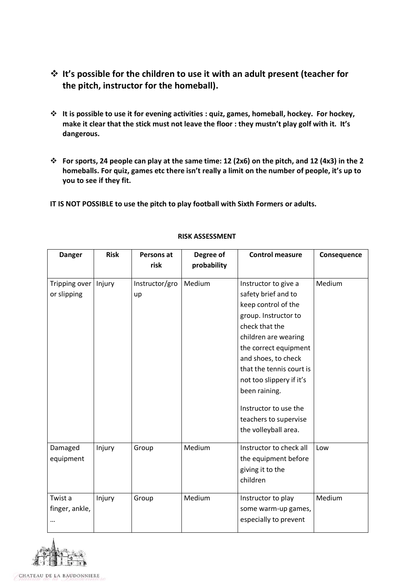- **It's possible for the children to use it with an adult present (teacher for the pitch, instructor for the homeball).**
- **It is possible to use it for evening activities : quiz, games, homeball, hockey. For hockey, make it clear that the stick must not leave the floor : they mustn't play golf with it. It's dangerous.**
- **For sports, 24 people can play at the same time: 12 (2x6) on the pitch, and 12 (4x3) in the 2 homeballs. For quiz, games etc there isn't really a limit on the number of people, it's up to you to see if they fit.**
- **IT IS NOT POSSIBLE to use the pitch to play football with Sixth Formers or adults.**

| <b>Danger</b>  | <b>Risk</b> | Persons at     | Degree of   | <b>Control measure</b>   | Consequence |
|----------------|-------------|----------------|-------------|--------------------------|-------------|
|                |             | risk           | probability |                          |             |
| Tripping over  | Injury      | Instructor/gro | Medium      | Instructor to give a     | Medium      |
| or slipping    |             | up             |             | safety brief and to      |             |
|                |             |                |             | keep control of the      |             |
|                |             |                |             | group. Instructor to     |             |
|                |             |                |             | check that the           |             |
|                |             |                |             | children are wearing     |             |
|                |             |                |             | the correct equipment    |             |
|                |             |                |             | and shoes, to check      |             |
|                |             |                |             | that the tennis court is |             |
|                |             |                |             | not too slippery if it's |             |
|                |             |                |             | been raining.            |             |
|                |             |                |             | Instructor to use the    |             |
|                |             |                |             | teachers to supervise    |             |
|                |             |                |             | the volleyball area.     |             |
| Damaged        | Injury      | Group          | Medium      | Instructor to check all  | Low         |
| equipment      |             |                |             | the equipment before     |             |
|                |             |                |             | giving it to the         |             |
|                |             |                |             | children                 |             |
| Twist a        | Injury      | Group          | Medium      | Instructor to play       | Medium      |
| finger, ankle, |             |                |             | some warm-up games,      |             |
|                |             |                |             | especially to prevent    |             |

## **RISK ASSESSMENT**